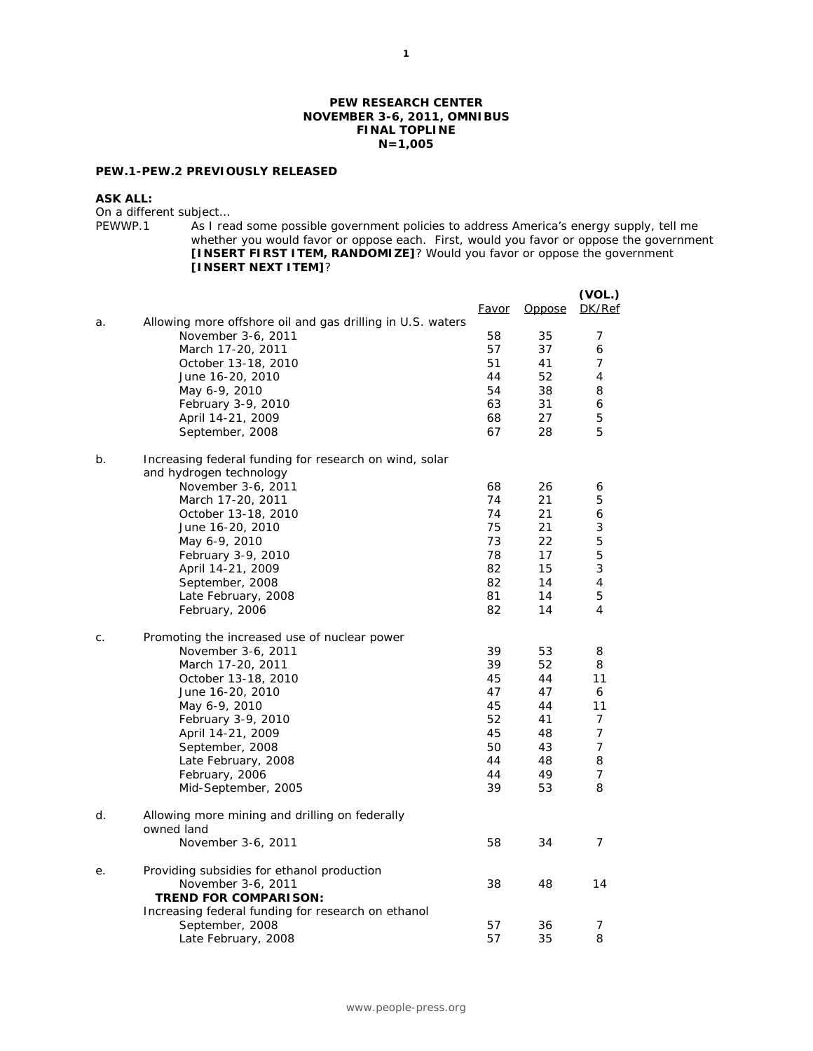### **PEW RESEARCH CENTER NOVEMBER 3-6, 2011, OMNIBUS FINAL TOPLINE N=1,005**

## **PEW.1-PEW.2 PREVIOUSLY RELEASED**

#### **ASK ALL:**

On a different subject...<br>PEWWP.1 As I real

As I read some possible government policies to address America's energy supply, tell me whether you would favor or oppose each. First, would you favor or oppose the government **[INSERT FIRST ITEM, RANDOMIZE]**? Would you favor or oppose the government **[INSERT NEXT ITEM]**?

|    |                                                                                   | <u>Favor</u> | <b>Oppose</b> | (VOL.)<br>DK/Ref |
|----|-----------------------------------------------------------------------------------|--------------|---------------|------------------|
| a. | Allowing more offshore oil and gas drilling in U.S. waters                        |              |               |                  |
|    | November 3-6, 2011                                                                | 58           | 35            | 7                |
|    | March 17-20, 2011                                                                 | 57           | 37            | 6                |
|    | October 13-18, 2010                                                               | 51           | 41            | 7                |
|    | June 16-20, 2010                                                                  | 44           | 52            | 4                |
|    | May 6-9, 2010                                                                     | 54           | 38            | 8                |
|    | February 3-9, 2010                                                                | 63           | 31            | 6                |
|    | April 14-21, 2009                                                                 | 68           | 27            | 5                |
|    | September, 2008                                                                   | 67           | 28            | 5                |
| b. | Increasing federal funding for research on wind, solar<br>and hydrogen technology |              |               |                  |
|    | November 3-6, 2011                                                                | 68           | 26            | 6                |
|    | March 17-20, 2011                                                                 | 74           | 21            | 5                |
|    | October 13-18, 2010                                                               | 74           | 21            | 6                |
|    | June 16-20, 2010                                                                  | 75           | 21            | 3                |
|    | May 6-9, 2010                                                                     | 73           | 22            | 5                |
|    | February 3-9, 2010                                                                | 78           | 17            | 5                |
|    | April 14-21, 2009                                                                 | 82           | 15            | 3                |
|    | September, 2008                                                                   | 82           | 14            | 4<br>5           |
|    | Late February, 2008<br>February, 2006                                             | 81<br>82     | 14<br>14      | 4                |
| С. | Promoting the increased use of nuclear power                                      |              |               |                  |
|    | November 3-6, 2011                                                                | 39           | 53            | 8                |
|    | March 17-20, 2011                                                                 | 39           | 52            | 8                |
|    | October 13-18, 2010                                                               | 45           | 44            | 11               |
|    | June 16-20, 2010                                                                  | 47           | 47            | 6                |
|    | May 6-9, 2010                                                                     | 45           | 44            | 11               |
|    | February 3-9, 2010                                                                | 52           | 41            | 7                |
|    | April 14-21, 2009                                                                 | 45           | 48            | 7                |
|    | September, 2008                                                                   | 50           | 43            | 7                |
|    | Late February, 2008                                                               | 44           | 48            | 8                |
|    | February, 2006<br>Mid-September, 2005                                             | 44<br>39     | 49<br>53      | 7<br>8           |
|    |                                                                                   |              |               |                  |
| d. | Allowing more mining and drilling on federally<br>owned land                      |              |               |                  |
|    | November 3-6, 2011                                                                | 58           | 34            | $\overline{7}$   |
| е. | Providing subsidies for ethanol production                                        |              |               |                  |
|    | November 3-6, 2011                                                                | 38           | 48            | 14               |
|    | <b>TREND FOR COMPARISON:</b>                                                      |              |               |                  |
|    | Increasing federal funding for research on ethanol                                |              |               |                  |
|    | September, 2008                                                                   | 57           | 36            | 7                |
|    | Late February, 2008                                                               | 57           | 35            | 8                |